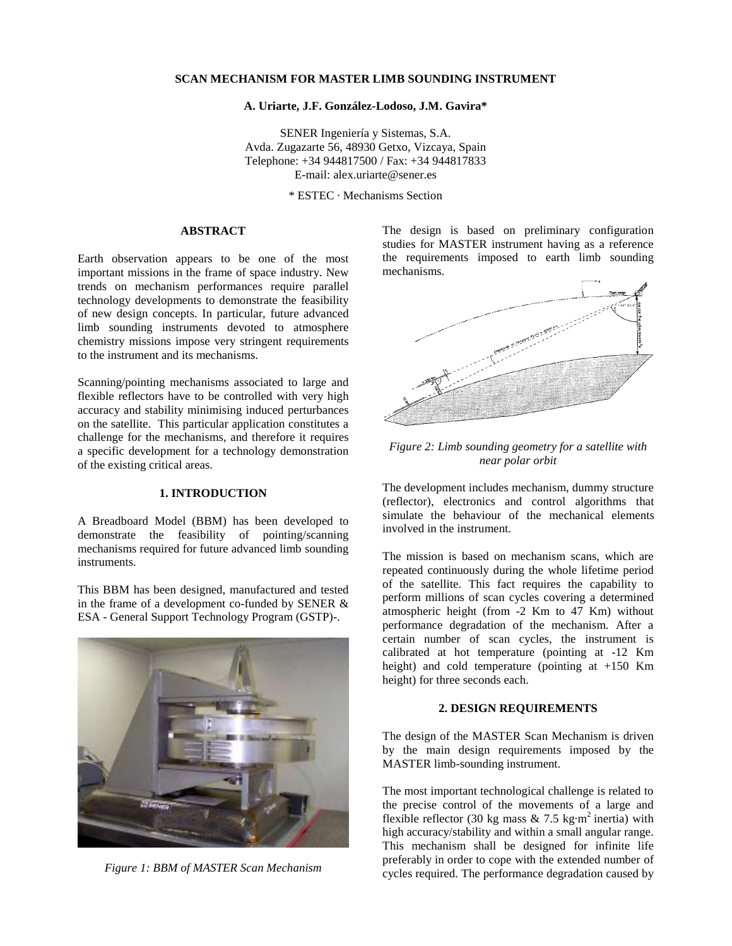# **SCAN MECHANISM FOR MASTER LIMB SOUNDING INSTRUMENT**

#### **A. Uriarte, J.F. González-Lodoso, J.M. Gavira\***

SENER Ingeniería y Sistemas, S.A. Avda. Zugazarte 56, 48930 Getxo, Vizcaya, Spain Telephone: +34 944817500 / Fax: +34 944817833 E-mail: alex.uriarte@sener.es

\* ESTEC · Mechanisms Section

# **ABSTRACT**

Earth observation appears to be one of the most important missions in the frame of space industry. New trends on mechanism performances require parallel technology developments to demonstrate the feasibility of new design concepts. In particular, future advanced limb sounding instruments devoted to atmosphere chemistry missions impose very stringent requirements to the instrument and its mechanisms.

Scanning/pointing mechanisms associated to large and flexible reflectors have to be controlled with very high accuracy and stability minimising induced perturbances on the satellite. This particular application constitutes a challenge for the mechanisms, and therefore it requires a specific development for a technology demonstration of the existing critical areas.

# **1. INTRODUCTION**

A Breadboard Model (BBM) has been developed to demonstrate the feasibility of pointing/scanning mechanisms required for future advanced limb sounding instruments.

This BBM has been designed, manufactured and tested in the frame of a development co-funded by SENER & ESA - General Support Technology Program (GSTP)-.



*Figure 1: BBM of MASTER Scan Mechanism*

The design is based on preliminary configuration studies for MASTER instrument having as a reference the requirements imposed to earth limb sounding mechanisms.



*Figure 2: Limb sounding geometry for a satellite with near polar orbit*

The development includes mechanism, dummy structure (reflector), electronics and control algorithms that simulate the behaviour of the mechanical elements involved in the instrument.

The mission is based on mechanism scans, which are repeated continuously during the whole lifetime period of the satellite. This fact requires the capability to perform millions of scan cycles covering a determined atmospheric height (from -2 Km to 47 Km) without performance degradation of the mechanism. After a certain number of scan cycles, the instrument is calibrated at hot temperature (pointing at -12 Km height) and cold temperature (pointing at +150 Km height) for three seconds each.

# **2. DESIGN REQUIREMENTS**

The design of the MASTER Scan Mechanism is driven by the main design requirements imposed by the MASTER limb-sounding instrument.

The most important technological challenge is related to the precise control of the movements of a large and flexible reflector (30 kg mass  $& 7.5 \text{ kg} \cdot \text{m}^2$  inertia) with high accuracy/stability and within a small angular range. This mechanism shall be designed for infinite life preferably in order to cope with the extended number of cycles required. The performance degradation caused by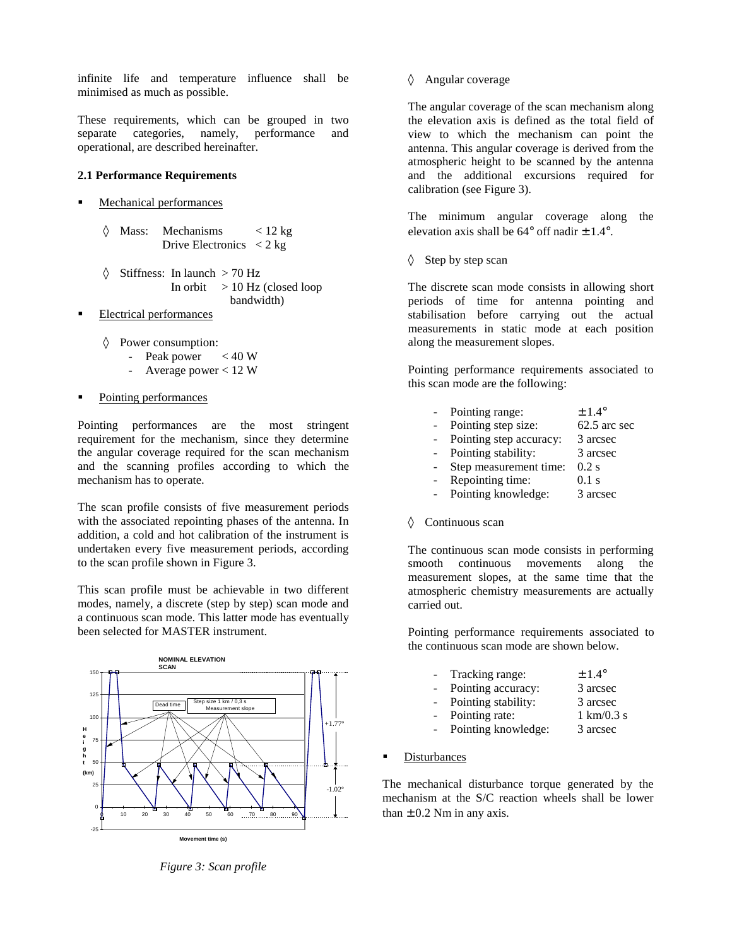infinite life and temperature influence shall be minimised as much as possible.

These requirements, which can be grouped in two separate categories, namely, performance and operational, are described hereinafter.

### **2.1 Performance Requirements**

- Mechanical performances
	- $\Diamond$  Mass: Mechanisms < 12 kg Drive Electronics  $\langle 2 \text{ kg} \rangle$
	- $\Diamond$  Stiffness: In launch > 70 Hz In orbit  $> 10$  Hz (closed loop bandwidth)
- É Electrical performances
	- ◊ Power consumption:
		- Peak power  $< 40 W$
		- Average power < 12 W
- Pointing performances

Pointing performances are the most stringent requirement for the mechanism, since they determine the angular coverage required for the scan mechanism and the scanning profiles according to which the mechanism has to operate.

The scan profile consists of five measurement periods with the associated repointing phases of the antenna. In addition, a cold and hot calibration of the instrument is undertaken every five measurement periods, according to the scan profile shown in Figure 3.

This scan profile must be achievable in two different modes, namely, a discrete (step by step) scan mode and a continuous scan mode. This latter mode has eventually been selected for MASTER instrument.



*Figure 3: Scan profile*

◊ Angular coverage

The angular coverage of the scan mechanism along the elevation axis is defined as the total field of view to which the mechanism can point the antenna. This angular coverage is derived from the atmospheric height to be scanned by the antenna and the additional excursions required for calibration (see Figure 3).

The minimum angular coverage along the elevation axis shall be  $64^{\circ}$  off nadir  $\pm$  1.4°.

◊ Step by step scan

The discrete scan mode consists in allowing short periods of time for antenna pointing and stabilisation before carrying out the actual measurements in static mode at each position along the measurement slopes.

Pointing performance requirements associated to this scan mode are the following:

| $\overline{\phantom{0}}$ | Pointing range:         | $\pm 1.4^{\circ}$ |
|--------------------------|-------------------------|-------------------|
| $\overline{\phantom{0}}$ | Pointing step size:     | 62.5 arc sec      |
| $\overline{\phantom{0}}$ | Pointing step accuracy: | 3 arcsec          |
| ÷.                       | Pointing stability:     | 3 arcsec          |
| $\overline{a}$           | Step measurement time:  | $0.2$ s           |
| ÷.                       | Repointing time:        | $0.1$ s           |
| $\overline{a}$           | Pointing knowledge:     | 3 arcsec          |
|                          |                         |                   |

◊ Continuous scan

The continuous scan mode consists in performing smooth continuous movements along the measurement slopes, at the same time that the atmospheric chemistry measurements are actually carried out.

Pointing performance requirements associated to the continuous scan mode are shown below.

| $\sim$ | Tracking range:     | $\pm$ 1.4 $^{\circ}$         |
|--------|---------------------|------------------------------|
|        | Pointing accuracy:  | 3 arcsec                     |
|        | Pointing stability: | 3 arcsec                     |
|        | Pointing rate:      | $1 \text{ km}/0.3 \text{ s}$ |
|        | Pointing knowledge: | 3 arcsec                     |
|        |                     |                              |

Disturbances

The mechanical disturbance torque generated by the mechanism at the S/C reaction wheels shall be lower than  $\pm$  0.2 Nm in any axis.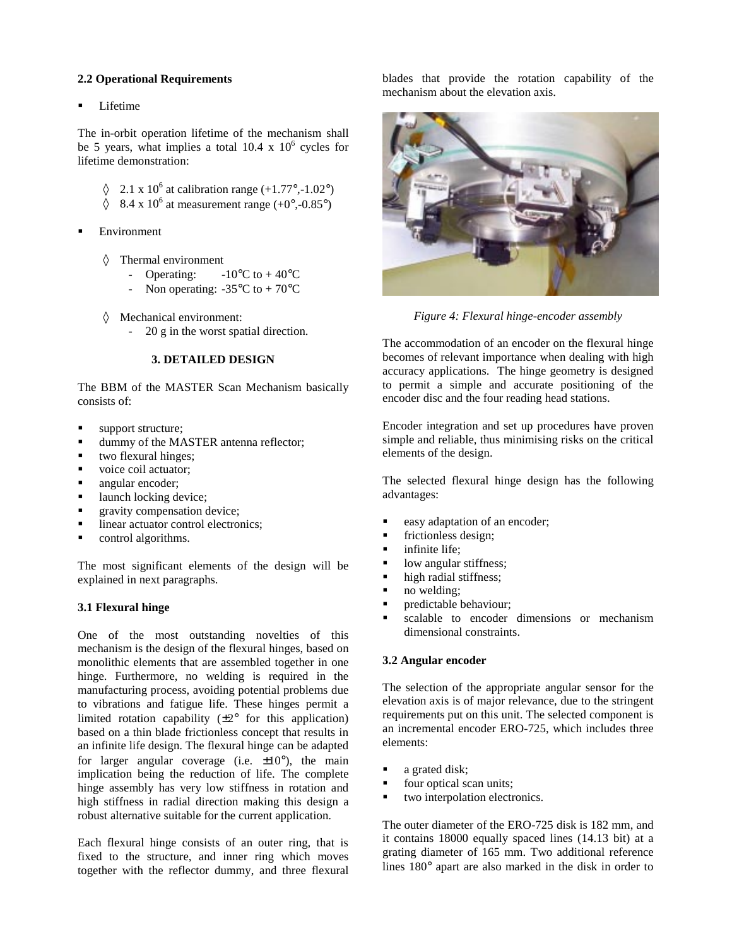# **2.2 Operational Requirements**

Lifetime

The in-orbit operation lifetime of the mechanism shall be 5 years, what implies a total 10.4 x  $10^6$  cycles for lifetime demonstration:

- $\sqrt{2.1 \times 10^6}$  at calibration range (+1.77°,-1.02°)
- $\lozenge$  8.4 x 10<sup>6</sup> at measurement range (+0°,-0.85°)
- Environment
	- ◊ Thermal environment
		- Operating:  $-10^{\circ}$ C to  $+40^{\circ}$ C
		- Non operating:  $-35^{\circ}$ C to  $+70^{\circ}$ C
	- ◊ Mechanical environment:
		- 20 g in the worst spatial direction.

### **3. DETAILED DESIGN**

The BBM of the MASTER Scan Mechanism basically consists of:

- support structure;
- dummy of the MASTER antenna reflector;
- $\blacksquare$  two flexural hinges;
- voice coil actuator;
- **EXECUTE:** angular encoder:
- $\blacksquare$  launch locking device;
- **Exercise** gravity compensation device;
- linear actuator control electronics;
- control algorithms.

The most significant elements of the design will be explained in next paragraphs.

# **3.1 Flexural hinge**

One of the most outstanding novelties of this mechanism is the design of the flexural hinges, based on monolithic elements that are assembled together in one hinge. Furthermore, no welding is required in the manufacturing process, avoiding potential problems due to vibrations and fatigue life. These hinges permit a limited rotation capability  $(\pm 2^{\circ}$  for this application) based on a thin blade frictionless concept that results in an infinite life design. The flexural hinge can be adapted for larger angular coverage (i.e.  $\pm 10^{\circ}$ ), the main implication being the reduction of life. The complete hinge assembly has very low stiffness in rotation and high stiffness in radial direction making this design a robust alternative suitable for the current application.

Each flexural hinge consists of an outer ring, that is fixed to the structure, and inner ring which moves together with the reflector dummy, and three flexural

blades that provide the rotation capability of the mechanism about the elevation axis.



*Figure 4: Flexural hinge-encoder assembly*

The accommodation of an encoder on the flexural hinge becomes of relevant importance when dealing with high accuracy applications. The hinge geometry is designed to permit a simple and accurate positioning of the encoder disc and the four reading head stations.

Encoder integration and set up procedures have proven simple and reliable, thus minimising risks on the critical elements of the design.

The selected flexural hinge design has the following advantages:

- easy adaptation of an encoder;
- frictionless design;
- infinite life:
- low angular stiffness;
- $\blacksquare$  high radial stiffness;
- no welding;
- predictable behaviour;
- scalable to encoder dimensions or mechanism dimensional constraints.

# **3.2 Angular encoder**

The selection of the appropriate angular sensor for the elevation axis is of major relevance, due to the stringent requirements put on this unit. The selected component is an incremental encoder ERO-725, which includes three elements:

- a grated disk;
- four optical scan units;
- two interpolation electronics.

The outer diameter of the ERO-725 disk is 182 mm, and it contains 18000 equally spaced lines (14.13 bit) at a grating diameter of 165 mm. Two additional reference lines 180° apart are also marked in the disk in order to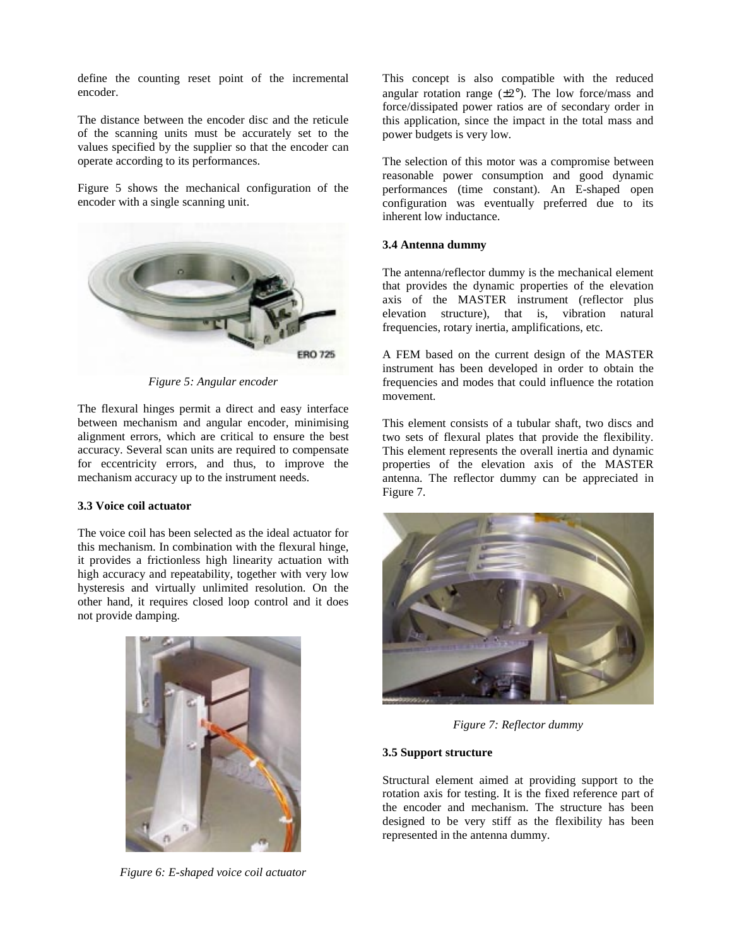define the counting reset point of the incremental encoder.

The distance between the encoder disc and the reticule of the scanning units must be accurately set to the values specified by the supplier so that the encoder can operate according to its performances.

Figure 5 shows the mechanical configuration of the encoder with a single scanning unit.



*Figure 5: Angular encoder*

The flexural hinges permit a direct and easy interface between mechanism and angular encoder, minimising alignment errors, which are critical to ensure the best accuracy. Several scan units are required to compensate for eccentricity errors, and thus, to improve the mechanism accuracy up to the instrument needs.

### **3.3 Voice coil actuator**

The voice coil has been selected as the ideal actuator for this mechanism. In combination with the flexural hinge, it provides a frictionless high linearity actuation with high accuracy and repeatability, together with very low hysteresis and virtually unlimited resolution. On the other hand, it requires closed loop control and it does not provide damping.



*Figure 6: E-shaped voice coil actuator*

This concept is also compatible with the reduced angular rotation range  $(\pm 2^{\circ})$ . The low force/mass and force/dissipated power ratios are of secondary order in this application, since the impact in the total mass and power budgets is very low.

The selection of this motor was a compromise between reasonable power consumption and good dynamic performances (time constant). An E-shaped open configuration was eventually preferred due to its inherent low inductance.

#### **3.4 Antenna dummy**

The antenna/reflector dummy is the mechanical element that provides the dynamic properties of the elevation axis of the MASTER instrument (reflector plus elevation structure), that is, vibration natural frequencies, rotary inertia, amplifications, etc.

A FEM based on the current design of the MASTER instrument has been developed in order to obtain the frequencies and modes that could influence the rotation movement.

This element consists of a tubular shaft, two discs and two sets of flexural plates that provide the flexibility. This element represents the overall inertia and dynamic properties of the elevation axis of the MASTER antenna. The reflector dummy can be appreciated in Figure 7.



*Figure 7: Reflector dummy*

### **3.5 Support structure**

Structural element aimed at providing support to the rotation axis for testing. It is the fixed reference part of the encoder and mechanism. The structure has been designed to be very stiff as the flexibility has been represented in the antenna dummy.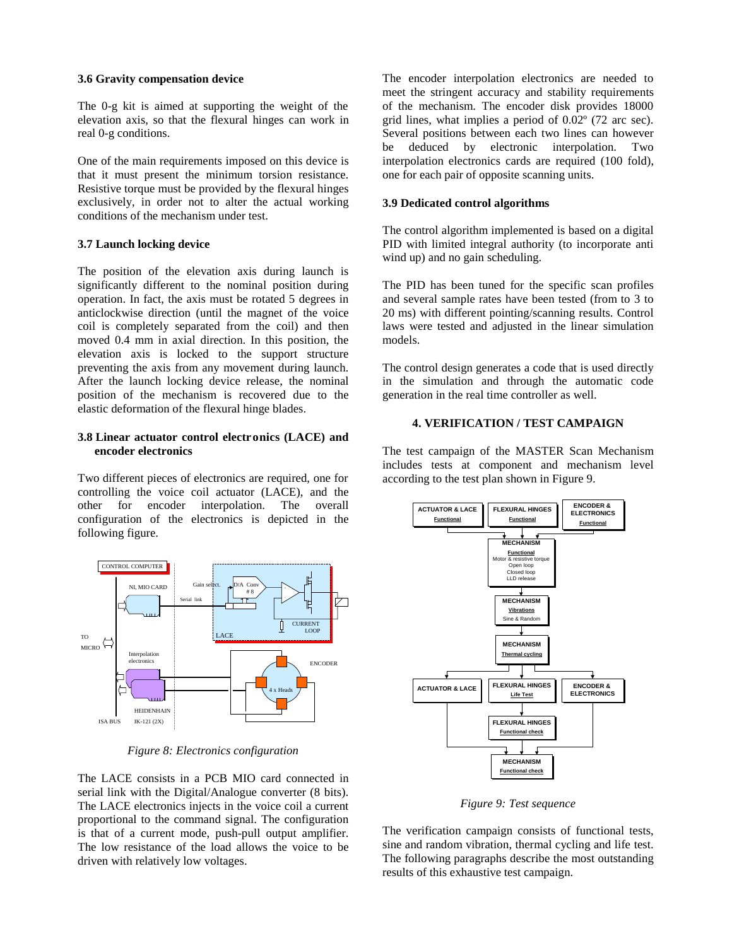#### **3.6 Gravity compensation device**

The 0-g kit is aimed at supporting the weight of the elevation axis, so that the flexural hinges can work in real 0-g conditions.

One of the main requirements imposed on this device is that it must present the minimum torsion resistance. Resistive torque must be provided by the flexural hinges exclusively, in order not to alter the actual working conditions of the mechanism under test.

# **3.7 Launch locking device**

The position of the elevation axis during launch is significantly different to the nominal position during operation. In fact, the axis must be rotated 5 degrees in anticlockwise direction (until the magnet of the voice coil is completely separated from the coil) and then moved 0.4 mm in axial direction. In this position, the elevation axis is locked to the support structure preventing the axis from any movement during launch. After the launch locking device release, the nominal position of the mechanism is recovered due to the elastic deformation of the flexural hinge blades.

# **3.8 Linear actuator control electronics (LACE) and encoder electronics**

Two different pieces of electronics are required, one for controlling the voice coil actuator (LACE), and the other for encoder interpolation. The overall configuration of the electronics is depicted in the following figure.



*Figure 8: Electronics configuration*

The LACE consists in a PCB MIO card connected in serial link with the Digital/Analogue converter (8 bits). The LACE electronics injects in the voice coil a current proportional to the command signal. The configuration is that of a current mode, push-pull output amplifier. The low resistance of the load allows the voice to be driven with relatively low voltages.

The encoder interpolation electronics are needed to meet the stringent accuracy and stability requirements of the mechanism. The encoder disk provides 18000 grid lines, what implies a period of 0.02º (72 arc sec). Several positions between each two lines can however be deduced by electronic interpolation. Two interpolation electronics cards are required (100 fold). one for each pair of opposite scanning units.

### **3.9 Dedicated control algorithms**

The control algorithm implemented is based on a digital PID with limited integral authority (to incorporate anti wind up) and no gain scheduling.

The PID has been tuned for the specific scan profiles and several sample rates have been tested (from to 3 to 20 ms) with different pointing/scanning results. Control laws were tested and adjusted in the linear simulation models.

The control design generates a code that is used directly in the simulation and through the automatic code generation in the real time controller as well.

# **4. VERIFICATION / TEST CAMPAIGN**

The test campaign of the MASTER Scan Mechanism includes tests at component and mechanism level according to the test plan shown in Figure 9.



*Figure 9: Test sequence*

The verification campaign consists of functional tests, sine and random vibration, thermal cycling and life test. The following paragraphs describe the most outstanding results of this exhaustive test campaign.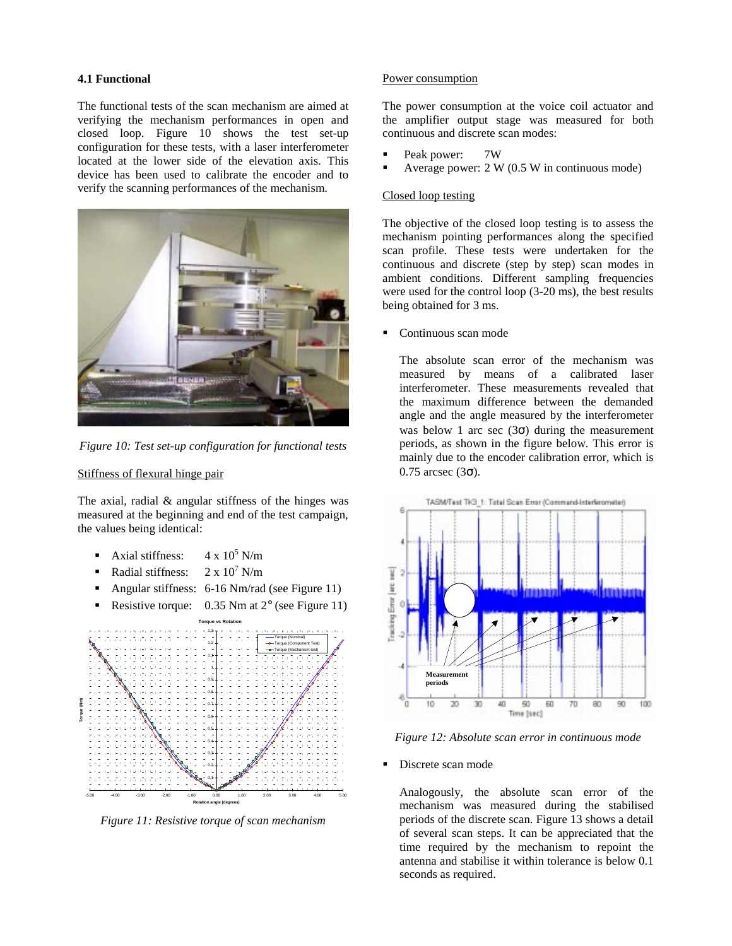# **4.1 Functional**

The functional tests of the scan mechanism are aimed at verifying the mechanism performances in open and closed loop. Figure 10 shows the test set-up configuration for these tests, with a laser interferometer located at the lower side of the elevation axis. This device has been used to calibrate the encoder and to verify the scanning performances of the mechanism.



*Figure 10: Test set-up configuration for functional tests*

# Stiffness of flexural hinge pair

The axial, radial & angular stiffness of the hinges was measured at the beginning and end of the test campaign, the values being identical:

- Axial stiffness:  $4 \times 10^5$  N/m
- Radial stiffness:  $2 \times 10^7$  N/m
- Angular stiffness: 6-16 Nm/rad (see Figure 11)
- **•** Resistive torque:  $0.35$  Nm at  $2^{\circ}$  (see Figure 11)



*Figure 11: Resistive torque of scan mechanism*

### Power consumption

The power consumption at the voice coil actuator and the amplifier output stage was measured for both continuous and discrete scan modes:

- Peak power: 7W
- Average power:  $2 W (0.5 W in continuous mode)$

# Closed loop testing

The objective of the closed loop testing is to assess the mechanism pointing performances along the specified scan profile. These tests were undertaken for the continuous and discrete (step by step) scan modes in ambient conditions. Different sampling frequencies were used for the control loop (3-20 ms), the best results being obtained for 3 ms.

Continuous scan mode

The absolute scan error of the mechanism was measured by means of a calibrated laser interferometer. These measurements revealed that the maximum difference between the demanded angle and the angle measured by the interferometer was below 1 arc sec  $(3\sigma)$  during the measurement periods, as shown in the figure below. This error is mainly due to the encoder calibration error, which is  $0.75$  arcsec (3σ).



*Figure 12: Absolute scan error in continuous mode*

#### Discrete scan mode

Analogously, the absolute scan error of the mechanism was measured during the stabilised periods of the discrete scan. Figure 13 shows a detail of several scan steps. It can be appreciated that the time required by the mechanism to repoint the antenna and stabilise it within tolerance is below 0.1 seconds as required.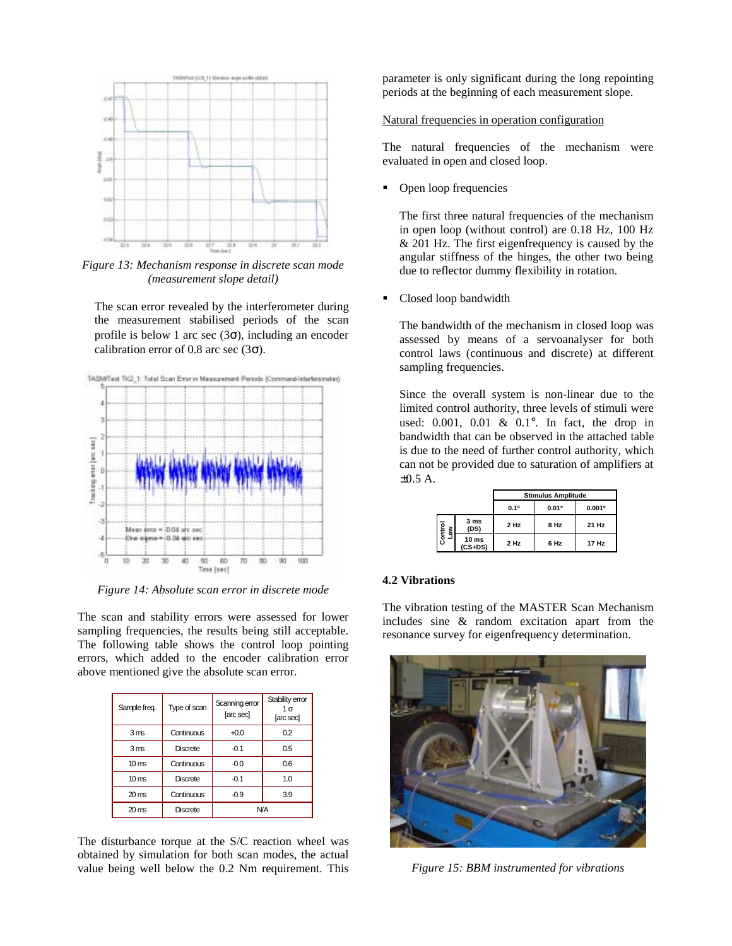

*Figure 13: Mechanism response in discrete scan mode (measurement slope detail)*

The scan error revealed by the interferometer during the measurement stabilised periods of the scan profile is below 1 arc sec  $(3\sigma)$ , including an encoder calibration error of 0.8 arc sec (3 $\sigma$ ).



*Figure 14: Absolute scan error in discrete mode*

The scan and stability errors were assessed for lower sampling frequencies, the results being still acceptable. The following table shows the control loop pointing errors, which added to the encoder calibration error above mentioned give the absolute scan error.

| Sample freq.       | Type of scan    | Scanning error<br>[arc sec] | Stability error<br>1σ<br>[arc sec] |
|--------------------|-----------------|-----------------------------|------------------------------------|
| 3 <sub>ms</sub>    | Continuous      | $+0.0$                      | 0.2                                |
| 3 <sub>ms</sub>    | <b>Discrete</b> | $-0.1$                      | 0.5                                |
| 10 <sub>ms</sub>   | Continuous      | $-0.0$                      | 0.6                                |
| 10 <sub>ms</sub>   | <b>Discrete</b> | $-0.1$                      | 1.0                                |
| $20 \text{ ms}$    | Continuous      | $-0.9$                      | 3.9                                |
| $20 \,\mathrm{ms}$ | <b>Discrete</b> | <b>N/A</b>                  |                                    |

The disturbance torque at the S/C reaction wheel was obtained by simulation for both scan modes, the actual value being well below the 0.2 Nm requirement. This parameter is only significant during the long repointing periods at the beginning of each measurement slope.

#### Natural frequencies in operation configuration

The natural frequencies of the mechanism were evaluated in open and closed loop.

Open loop frequencies

The first three natural frequencies of the mechanism in open loop (without control) are 0.18 Hz, 100 Hz & 201 Hz. The first eigenfrequency is caused by the angular stiffness of the hinges, the other two being due to reflector dummy flexibility in rotation.

Closed loop bandwidth

The bandwidth of the mechanism in closed loop was assessed by means of a servoanalyser for both control laws (continuous and discrete) at different sampling frequencies.

Since the overall system is non-linear due to the limited control authority, three levels of stimuli were used: 0.001, 0.01 & 0.1°. In fact, the drop in bandwidth that can be observed in the attached table is due to the need of further control authority, which can not be provided due to saturation of amplifiers at ±0.5 A.

|                |                               | <b>Stimulus Amplitude</b> |       |        |
|----------------|-------------------------------|---------------------------|-------|--------|
|                |                               | 0.1°                      | 0.01° | 0.001° |
| Control<br>Law | 3 ms<br>(DS)                  | 2 Hz                      | 8 Hz  | 21 Hz  |
|                | 10 <sub>ms</sub><br>$(CS+DS)$ | 2 Hz                      | 6 Hz  | 17 Hz  |

#### **4.2 Vibrations**

The vibration testing of the MASTER Scan Mechanism includes sine & random excitation apart from the resonance survey for eigenfrequency determination.



*Figure 15: BBM instrumented for vibrations*